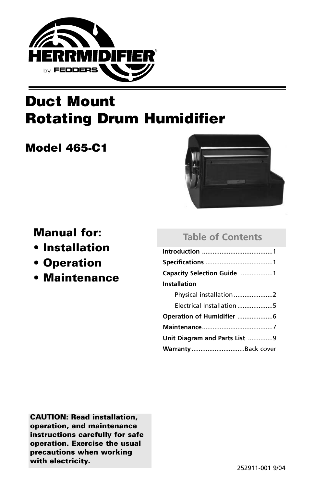

# **Duct Mount Rotating Drum Humidifier**

# **Model 465-C1**



**Manual for:** 

- **Installation**
- **Operation**
- **Maintenance**

### **Table of Contents**

| Capacity Selection Guide 1    |
|-------------------------------|
| <b>Installation</b>           |
| Physical installation 2       |
| Electrical Installation 5     |
| Operation of Humidifier 6     |
|                               |
| Unit Diagram and Parts List 9 |
| Warranty Back cover           |

**CAUTION: Read installation, operation, and maintenance instructions carefully for safe operation. Exercise the usual precautions when working with electricity.**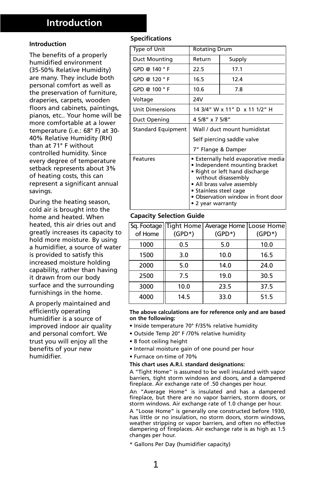## **Introduction**

#### **Introduction**

The benefits of a properly humidified environment (35-50% Relative Humidity) are many. They include both personal comfort as well as the preservation of furniture, draperies, carpets, wooden floors and cabinets, paintings, pianos, etc.. Your home will be more comfortable at a lower temperature (i.e.: 68° F) at 30- 40% Relative Humidity (RH) than at 71° F without controlled humidity. Since every degree of temperature setback represents about 3% of heating costs, this can represent a significant annual savings.

During the heating season, cold air is brought into the home and heated. When heated, this air dries out and greatly increases its capacity to hold more moisture. By using a humidifier, a source of water is provided to satisfy this increased moisture holding capability, rather than having it drawn from our body surface and the surrounding furnishings in the home.

A properly maintained and efficiently operating humidifier is a source of improved indoor air quality and personal comfort. We trust you will enjoy all the benefits of your new humidifier.

### **Specifications**

| Type of Unit              | <b>Rotating Drum</b>                                                                                                                                                                                                                              |        |  |
|---------------------------|---------------------------------------------------------------------------------------------------------------------------------------------------------------------------------------------------------------------------------------------------|--------|--|
| <b>Duct Mounting</b>      | Return                                                                                                                                                                                                                                            | Supply |  |
| GPD @ 140 $\degree$ F     | 22.5                                                                                                                                                                                                                                              | 17.1   |  |
| GPD @ $120 °F$            | 16.5                                                                                                                                                                                                                                              | 12.4   |  |
| GPD @ $100 °F$            | 10.6                                                                                                                                                                                                                                              | 7.8    |  |
| Voltage                   | 24V                                                                                                                                                                                                                                               |        |  |
| <b>Unit Dimensions</b>    | 14 3/4" W x 11" D x 11 1/2" H                                                                                                                                                                                                                     |        |  |
| Duct Opening              | 4 5/8" x 7 5/8"                                                                                                                                                                                                                                   |        |  |
| <b>Standard Equipment</b> | Wall / duct mount humidistat                                                                                                                                                                                                                      |        |  |
|                           | Self piercing saddle valve                                                                                                                                                                                                                        |        |  |
|                           | 7" Flange & Damper                                                                                                                                                                                                                                |        |  |
| Features                  | • Externally held evaporative media<br>• Independent mounting bracket<br>• Right or left hand discharge<br>without disassembly<br>• All brass valve assembly<br>• Stainless steel cage<br>• Observation window in front door<br>• 2 year warranty |        |  |

#### **Capacity Selection Guide**

|         |           | Sq. Footage   Tight Home    Average Home   Loose Home |           |
|---------|-----------|-------------------------------------------------------|-----------|
| of Home | $(GPD^*)$ | $(GPD^*)$                                             | $(GPD^*)$ |
| 1000    | 0.5       | 5.0                                                   | 10.0      |
| 1500    | 3.0       | 10.0                                                  | 16.5      |
| 2000    | 5.0       | 14.0                                                  | 24.0      |
| 2500    | 7.5       | 19.0                                                  | 30.5      |
| 3000    | 10.0      | 23.5                                                  | 37.5      |
| 4000    | 14.5      | 33.0                                                  | 51.5      |

**The above calculations are for reference only and are based on the following:**

- Inside temperature 70° F/35% relative humidity
- Outside Temp 20° F /70% relative humidity
- 8 foot ceiling height
- Internal moisture gain of one pound per hour
- Furnace on-time of 70%

#### **This chart uses A.R.I. standard designations:**

A "Tight Home" is assumed to be well insulated with vapor barriers, tight storm windows and doors, and a dampered fireplace. Air exchange rate of .50 changes per hour.

An "Average Home" is insulated and has a dampered fireplace, but there are no vapor barriers, storm doors, or storm windows. Air exchange rate of 1.0 change per hour.

A "Loose Home" is generally one constructed before 1930, has little or no insulation, no storm doors, storm windows, weather stripping or vapor barriers, and often no effective dampering of fireplaces. Air exchange rate is as high as 1.5 changes per hour.

\* Gallons Per Day (humidifier capacity)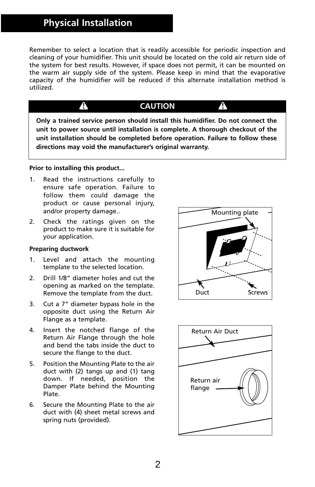## **Physical Installation**

Remember to select a location that is readily accessible for periodic inspection and cleaning of your humidifier. This unit should be located on the cold air return side of the system for best results. However, if space does not permit, it can be mounted on the warm air supply side of the system. Please keep in mind that the evaporative capacity of the humidifier will be reduced if this alternate installation method is utilized.

### **CAUTION**

**Only a trained service person should install this humidifier. Do not connect the unit to power source until installation is complete. A thorough checkout of the unit installation should be completed before operation. Failure to follow these directions may void the manufacturer's original warranty.**

#### **Prior to installing this product...**

 $\blacktriangle$ 

- 1. Read the instructions carefully to ensure safe operation. Failure to follow them could damage the product or cause personal injury, and/or property damage..
- 2. Check the ratings given on the product to make sure it is suitable for your application.

#### **Preparing ductwork**

- 1. Level and attach the mounting template to the selected location.
- 2. Drill 1/8" diameter holes and cut the opening as marked on the template. Remove the template from the duct.
- 3. Cut a 7" diameter bypass hole in the opposite duct using the Return Air Flange as a template.
- 4. Insert the notched flange of the Return Air Flange through the hole and bend the tabs inside the duct to secure the flange to the duct.
- 5. Position the Mounting Plate to the air duct with (2) tangs up and (1) tang down. If needed, position the Damper Plate behind the Mounting Plate.
- 6. Secure the Mounting Plate to the air duct with (4) sheet metal screws and spring nuts (provided).



A

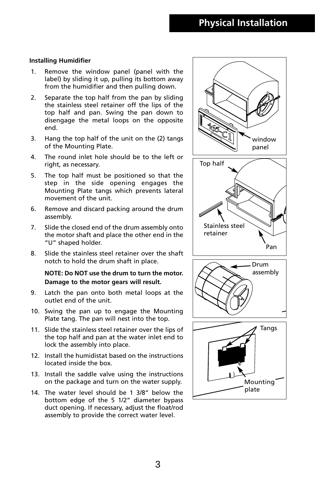#### **Installing Humidifier**

- 1. Remove the window panel (panel with the label) by sliding it up, pulling its bottom away from the humidifier and then pulling down.
- 2. Separate the top half from the pan by sliding the stainless steel retainer off the lips of the top half and pan. Swing the pan down to disengage the metal loops on the opposite end.
- 3. Hang the top half of the unit on the (2) tangs of the Mounting Plate.
- 4. The round inlet hole should be to the left or right, as necessary.
- 5. The top half must be positioned so that the step in the side opening engages the Mounting Plate tangs which prevents lateral movement of the unit.
- 6. Remove and discard packing around the drum assembly.
- 7. Slide the closed end of the drum assembly onto the motor shaft and place the other end in the "U" shaped holder.
- 8. Slide the stainless steel retainer over the shaft notch to hold the drum shaft in place.

#### **NOTE: Do NOT use the drum to turn the motor. Damage to the motor gears will result.**

- 9. Latch the pan onto both metal loops at the outlet end of the unit.
- 10. Swing the pan up to engage the Mounting Plate tang. The pan will nest into the top.
- 11. Slide the stainless steel retainer over the lips of the top half and pan at the water inlet end to lock the assembly into place.
- 12. Install the humidistat based on the instructions located inside the box.
- 13. Install the saddle valve using the instructions on the package and turn on the water supply.
- 14. The water level should be 1 3/8" below the bottom edge of the 5 1/2" diameter bypass duct opening. If necessary, adjust the float/rod assembly to provide the correct water level.

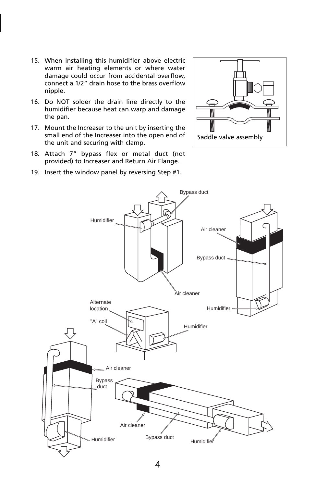- 15. When installing this humidifier above electric warm air heating elements or where water damage could occur from accidental overflow, connect a 1/2" drain hose to the brass overflow nipple.
- 16. Do NOT solder the drain line directly to the humidifier because heat can warp and damage the pan.
- 17. Mount the Increaser to the unit by inserting the small end of the Increaser into the open end of the unit and securing with clamp.
- 18. Attach 7" bypass flex or metal duct (not provided) to Increaser and Return Air Flange.
- 19. Insert the window panel by reversing Step #1.



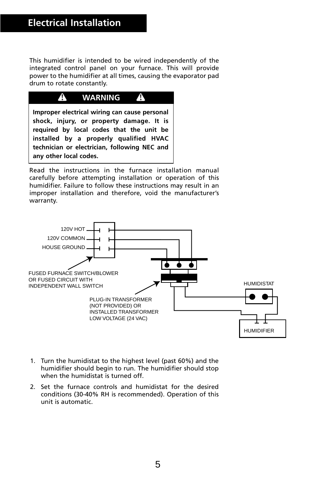This humidifier is intended to be wired independently of the integrated control panel on your furnace. This will provide power to the humidifier at all times, causing the evaporator pad drum to rotate constantly.



Read the instructions in the furnace installation manual carefully before attempting installation or operation of this humidifier. Failure to follow these instructions may result in an improper installation and therefore, void the manufacturer's warranty.



- 1. Turn the humidistat to the highest level (past 60%) and the humidifier should begin to run. The humidifier should stop when the humidistat is turned off.
- 2. Set the furnace controls and humidistat for the desired conditions (30-40% RH is recommended). Operation of this unit is automatic.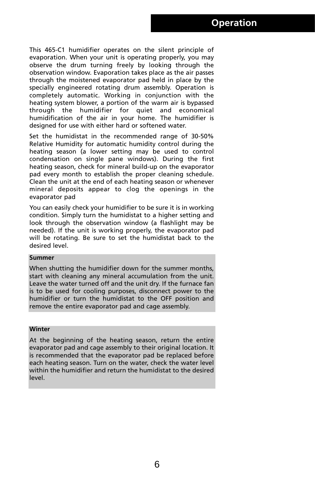This 465-C1 humidifier operates on the silent principle of evaporation. When your unit is operating properly, you may observe the drum turning freely by looking through the observation window. Evaporation takes place as the air passes through the moistened evaporator pad held in place by the specially engineered rotating drum assembly. Operation is completely automatic. Working in conjunction with the heating system blower, a portion of the warm air is bypassed through the humidifier for quiet and economical humidification of the air in your home. The humidifier is designed for use with either hard or softened water.

Set the humidistat in the recommended range of 30-50% Relative Humidity for automatic humidity control during the heating season (a lower setting may be used to control condensation on single pane windows). During the first heating season, check for mineral build-up on the evaporator pad every month to establish the proper cleaning schedule. Clean the unit at the end of each heating season or whenever mineral deposits appear to clog the openings in the evaporator pad

You can easily check your humidifier to be sure it is in working condition. Simply turn the humidistat to a higher setting and look through the observation window (a flashlight may be needed). If the unit is working properly, the evaporator pad will be rotating. Be sure to set the humidistat back to the desired level.

#### **Summer**

When shutting the humidifier down for the summer months, start with cleaning any mineral accumulation from the unit. Leave the water turned off and the unit dry. If the furnace fan is to be used for cooling purposes, disconnect power to the humidifier or turn the humidistat to the OFF position and remove the entire evaporator pad and cage assembly.

#### **Winter**

At the beginning of the heating season, return the entire evaporator pad and cage assembly to their original location. It is recommended that the evaporator pad be replaced before each heating season. Turn on the water, check the water level within the humidifier and return the humidistat to the desired level.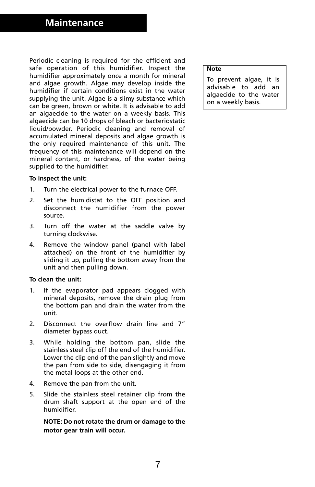### **Maintenance**

Periodic cleaning is required for the efficient and safe operation of this humidifier. Inspect the humidifier approximately once a month for mineral and algae growth. Algae may develop inside the humidifier if certain conditions exist in the water supplying the unit. Algae is a slimy substance which can be green, brown or white. It is advisable to add an algaecide to the water on a weekly basis. This algaecide can be 10 drops of bleach or bacteriostatic liquid/powder. Periodic cleaning and removal of accumulated mineral deposits and algae growth is the only required maintenance of this unit. The frequency of this maintenance will depend on the mineral content, or hardness, of the water being supplied to the humidifier.

#### **To inspect the unit:**

- 1. Turn the electrical power to the furnace OFF.
- 2. Set the humidistat to the OFF position and disconnect the humidifier from the power source.
- 3. Turn off the water at the saddle valve by turning clockwise.
- 4. Remove the window panel (panel with label attached) on the front of the humidifier by sliding it up, pulling the bottom away from the unit and then pulling down.

#### **To clean the unit:**

- 1. If the evaporator pad appears clogged with mineral deposits, remove the drain plug from the bottom pan and drain the water from the unit.
- 2. Disconnect the overflow drain line and 7" diameter bypass duct.
- 3. While holding the bottom pan, slide the stainless steel clip off the end of the humidifier. Lower the clip end of the pan slightly and move the pan from side to side, disengaging it from the metal loops at the other end.
- 4. Remove the pan from the unit.
- 5. Slide the stainless steel retainer clip from the drum shaft support at the open end of the humidifier.

**NOTE: Do not rotate the drum or damage to the motor gear train will occur.**

#### **Note**

To prevent algae, it is advisable to add an algaecide to the water on a weekly basis.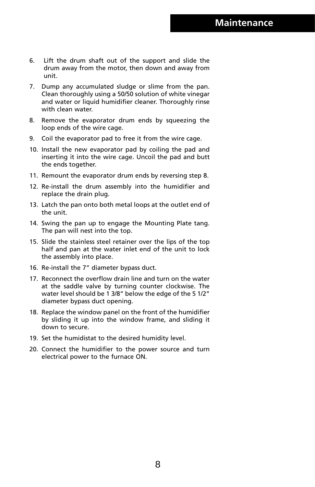- 6. Lift the drum shaft out of the support and slide the drum away from the motor, then down and away from unit.
- 7. Dump any accumulated sludge or slime from the pan. Clean thoroughly using a 50/50 solution of white vinegar and water or liquid humidifier cleaner. Thoroughly rinse with clean water.
- 8. Remove the evaporator drum ends by squeezing the loop ends of the wire cage.
- 9. Coil the evaporator pad to free it from the wire cage.
- 10. Install the new evaporator pad by coiling the pad and inserting it into the wire cage. Uncoil the pad and butt the ends together.
- 11. Remount the evaporator drum ends by reversing step 8.
- 12. Re-install the drum assembly into the humidifier and replace the drain plug.
- 13. Latch the pan onto both metal loops at the outlet end of the unit.
- 14. Swing the pan up to engage the Mounting Plate tang. The pan will nest into the top.
- 15. Slide the stainless steel retainer over the lips of the top half and pan at the water inlet end of the unit to lock the assembly into place.
- 16. Re-install the 7" diameter bypass duct.
- 17. Reconnect the overflow drain line and turn on the water at the saddle valve by turning counter clockwise. The water level should be 1 3/8" below the edge of the 5 1/2" diameter bypass duct opening.
- 18. Replace the window panel on the front of the humidifier by sliding it up into the window frame, and sliding it down to secure.
- 19. Set the humidistat to the desired humidity level.
- 20. Connect the humidifier to the power source and turn electrical power to the furnace ON.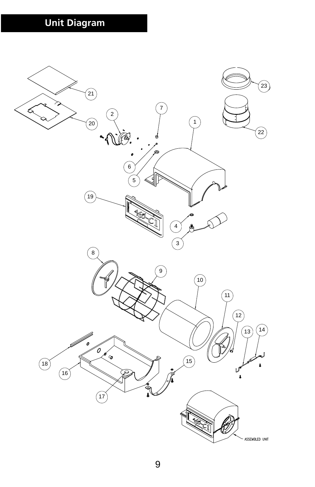# **Unit Diagram**

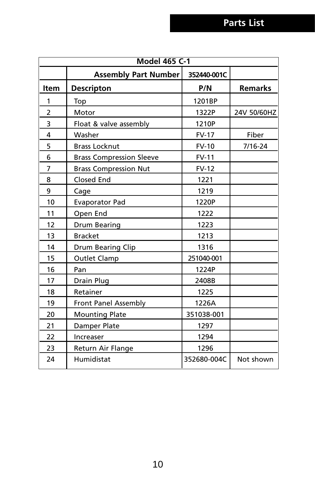| <b>Model 465 C-1</b> |                                 |              |                |  |  |
|----------------------|---------------------------------|--------------|----------------|--|--|
|                      | <b>Assembly Part Number</b>     | 352440-001C  |                |  |  |
| <b>Item</b>          | <b>Descripton</b>               | P/N          | <b>Remarks</b> |  |  |
| 1                    | Top                             | 1201BP       |                |  |  |
| $\overline{2}$       | Motor                           | 1322P        | 24V 50/60HZ    |  |  |
| 3                    | Float & valve assembly          | 1210P        |                |  |  |
| $\overline{4}$       | Washer                          | <b>FV-17</b> | Fiber          |  |  |
| 5                    | <b>Brass Locknut</b>            | <b>FV-10</b> | 7/16-24        |  |  |
| 6                    | <b>Brass Compression Sleeve</b> | <b>FV-11</b> |                |  |  |
| $\overline{7}$       | <b>Brass Compression Nut</b>    | <b>FV-12</b> |                |  |  |
| 8                    | Closed End                      | 1221         |                |  |  |
| 9                    | Cage                            | 1219         |                |  |  |
| 10                   | <b>Evaporator Pad</b>           | 1220P        |                |  |  |
| 11                   | Open End                        | 1222         |                |  |  |
| 12                   | <b>Drum Bearing</b>             | 1223         |                |  |  |
| 13                   | <b>Bracket</b>                  | 1213         |                |  |  |
| 14                   | Drum Bearing Clip               | 1316         |                |  |  |
| 15                   | <b>Outlet Clamp</b>             | 251040-001   |                |  |  |
| 16                   | Pan                             | 1224P        |                |  |  |
| 17                   | Drain Plug                      | 2408B        |                |  |  |
| 18                   | Retainer                        | 1225         |                |  |  |
| 19                   | Front Panel Assembly            | 1226A        |                |  |  |
| 20                   | <b>Mounting Plate</b>           | 351038-001   |                |  |  |
| 21                   | Damper Plate                    | 1297         |                |  |  |
| 22                   | Increaser                       | 1294         |                |  |  |
| 23                   | Return Air Flange               | 1296         |                |  |  |
| 24                   | Humidistat                      | 352680-004C  | Not shown      |  |  |